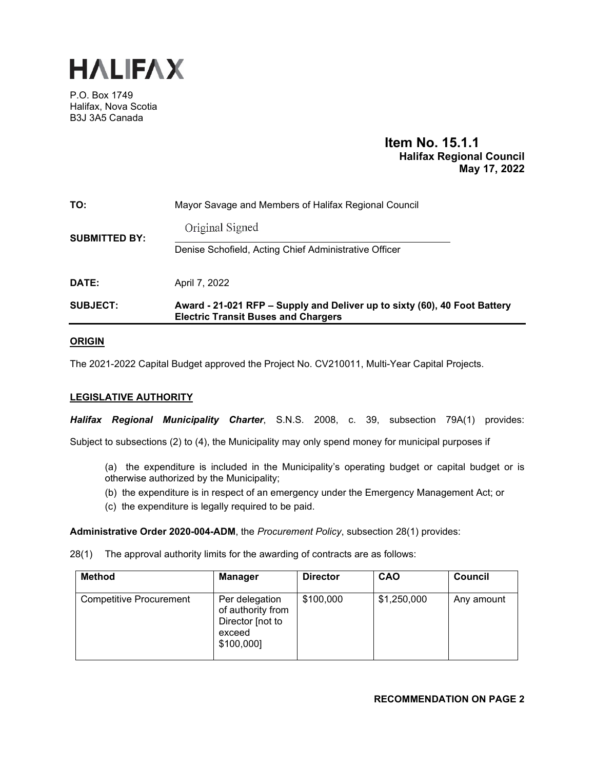

P.O. Box 1749 Halifax, Nova Scotia B3J 3A5 Canada

# **Item No. 15.1.1 Halifax Regional Council May 17, 2022**

| <b>SUBJECT:</b>      | Award - 21-021 RFP – Supply and Deliver up to sixty (60), 40 Foot Battery<br><b>Electric Transit Buses and Chargers</b> |
|----------------------|-------------------------------------------------------------------------------------------------------------------------|
| DATE:                | April 7, 2022                                                                                                           |
| <b>SUBMITTED BY:</b> | Original Signed<br>Denise Schofield, Acting Chief Administrative Officer                                                |
| TO:                  | Mayor Savage and Members of Halifax Regional Council                                                                    |

## **ORIGIN**

The 2021-2022 Capital Budget approved the Project No. CV210011, Multi-Year Capital Projects.

## **LEGISLATIVE AUTHORITY**

*Halifax Regional Municipality Charter*, S.N.S. 2008, c. 39, subsection 79A(1) provides:

Subject to subsections (2) to (4), the Municipality may only spend money for municipal purposes if

- (a) the expenditure is included in the Municipality's operating budget or capital budget or is otherwise authorized by the Municipality;
- (b) the expenditure is in respect of an emergency under the Emergency Management Act; or
- (c) the expenditure is legally required to be paid.

**Administrative Order 2020-004-ADM**, the *Procurement Policy*, subsection 28(1) provides:

28(1) The approval authority limits for the awarding of contracts are as follows:

| Method                         | <b>Manager</b>                                                                  | <b>Director</b> | <b>CAO</b>  | <b>Council</b> |
|--------------------------------|---------------------------------------------------------------------------------|-----------------|-------------|----------------|
| <b>Competitive Procurement</b> | Per delegation<br>of authority from<br>Director [not to<br>exceed<br>\$100,000] | \$100,000       | \$1,250,000 | Any amount     |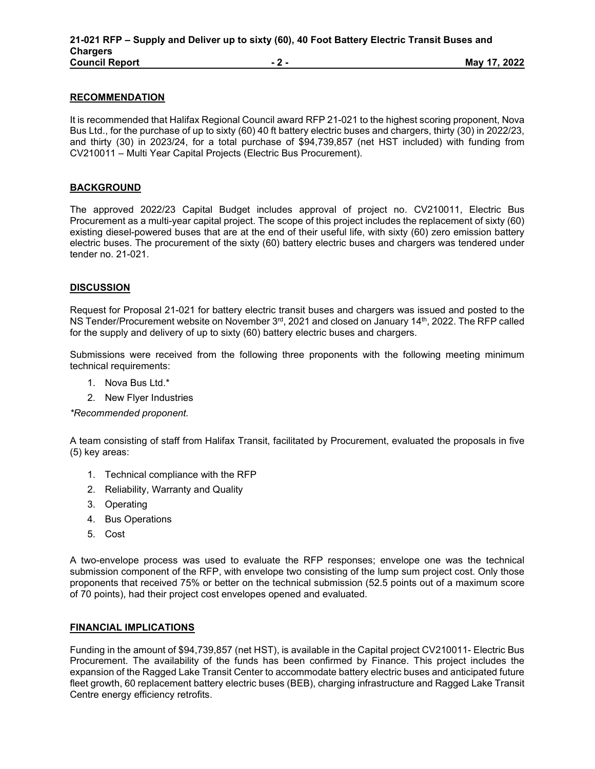## **RECOMMENDATION**

It is recommended that Halifax Regional Council award RFP 21-021 to the highest scoring proponent, Nova Bus Ltd., for the purchase of up to sixty (60) 40 ft battery electric buses and chargers, thirty (30) in 2022/23, and thirty (30) in 2023/24, for a total purchase of \$94,739,857 (net HST included) with funding from CV210011 – Multi Year Capital Projects (Electric Bus Procurement).

## **BACKGROUND**

The approved 2022/23 Capital Budget includes approval of project no. CV210011, Electric Bus Procurement as a multi-year capital project. The scope of this project includes the replacement of sixty (60) existing diesel-powered buses that are at the end of their useful life, with sixty (60) zero emission battery electric buses. The procurement of the sixty (60) battery electric buses and chargers was tendered under tender no. 21-021.

## **DISCUSSION**

Request for Proposal 21-021 for battery electric transit buses and chargers was issued and posted to the NS Tender/Procurement website on November  $3<sup>rd</sup>$ , 2021 and closed on January 14<sup>th</sup>, 2022. The RFP called for the supply and delivery of up to sixty (60) battery electric buses and chargers.

Submissions were received from the following three proponents with the following meeting minimum technical requirements:

- 1. Nova Bus Ltd.\*
- 2. New Flyer Industries

*\*Recommended proponent.* 

A team consisting of staff from Halifax Transit, facilitated by Procurement, evaluated the proposals in five (5) key areas:

- 1. Technical compliance with the RFP
- 2. Reliability, Warranty and Quality
- 3. Operating
- 4. Bus Operations
- 5. Cost

A two-envelope process was used to evaluate the RFP responses; envelope one was the technical submission component of the RFP, with envelope two consisting of the lump sum project cost. Only those proponents that received 75% or better on the technical submission (52.5 points out of a maximum score of 70 points), had their project cost envelopes opened and evaluated.

#### **FINANCIAL IMPLICATIONS**

Funding in the amount of \$94,739,857 (net HST), is available in the Capital project CV210011- Electric Bus Procurement. The availability of the funds has been confirmed by Finance. This project includes the expansion of the Ragged Lake Transit Center to accommodate battery electric buses and anticipated future fleet growth, 60 replacement battery electric buses (BEB), charging infrastructure and Ragged Lake Transit Centre energy efficiency retrofits.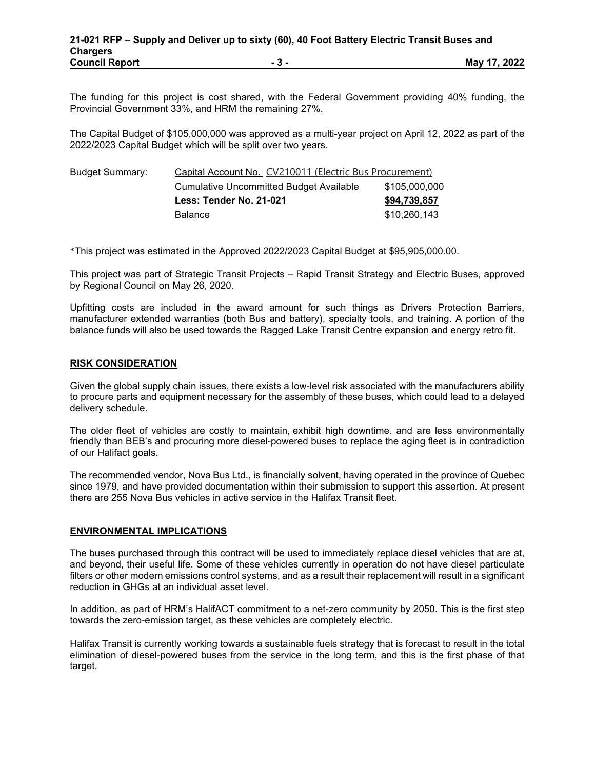The funding for this project is cost shared, with the Federal Government providing 40% funding, the Provincial Government 33%, and HRM the remaining 27%.

The Capital Budget of \$105,000,000 was approved as a multi-year project on April 12, 2022 as part of the 2022/2023 Capital Budget which will be split over two years.

| <b>Budget Summary:</b> | Capital Account No. CV210011 (Electric Bus Procurement) |               |  |  |
|------------------------|---------------------------------------------------------|---------------|--|--|
|                        | Cumulative Uncommitted Budget Available                 | \$105,000,000 |  |  |
|                        | Less: Tender No. 21-021                                 | \$94,739,857  |  |  |
|                        | <b>Balance</b>                                          | \$10.260.143  |  |  |

\*This project was estimated in the Approved 2022/2023 Capital Budget at \$95,905,000.00.

This project was part of Strategic Transit Projects – Rapid Transit Strategy and Electric Buses, approved by Regional Council on May 26, 2020.

Upfitting costs are included in the award amount for such things as Drivers Protection Barriers, manufacturer extended warranties (both Bus and battery), specialty tools, and training. A portion of the balance funds will also be used towards the Ragged Lake Transit Centre expansion and energy retro fit.

## **RISK CONSIDERATION**

Given the global supply chain issues, there exists a low-level risk associated with the manufacturers ability to procure parts and equipment necessary for the assembly of these buses, which could lead to a delayed delivery schedule.

The older fleet of vehicles are costly to maintain, exhibit high downtime. and are less environmentally friendly than BEB's and procuring more diesel-powered buses to replace the aging fleet is in contradiction of our Halifact goals.

The recommended vendor, Nova Bus Ltd., is financially solvent, having operated in the province of Quebec since 1979, and have provided documentation within their submission to support this assertion. At present there are 255 Nova Bus vehicles in active service in the Halifax Transit fleet.

## **ENVIRONMENTAL IMPLICATIONS**

The buses purchased through this contract will be used to immediately replace diesel vehicles that are at, and beyond, their useful life. Some of these vehicles currently in operation do not have diesel particulate filters or other modern emissions control systems, and as a result their replacement will result in a significant reduction in GHGs at an individual asset level.

In addition, as part of HRM's HalifACT commitment to a net-zero community by 2050. This is the first step towards the zero-emission target, as these vehicles are completely electric.

Halifax Transit is currently working towards a sustainable fuels strategy that is forecast to result in the total elimination of diesel-powered buses from the service in the long term, and this is the first phase of that target.